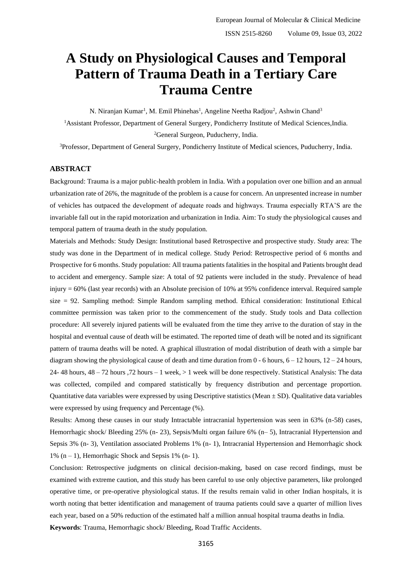# **A Study on Physiological Causes and Temporal Pattern of Trauma Death in a Tertiary Care Trauma Centre**

N. Niranjan Kumar<sup>1</sup>, M. Emil Phinehas<sup>1</sup>, Angeline Neetha Radjou<sup>2</sup>, Ashwin Chand<sup>3</sup> <sup>1</sup>Assistant Professor, Department of General Surgery, Pondicherry Institute of Medical Sciences,India. <sup>2</sup>General Surgeon, Puducherry, India.

<sup>3</sup>Professor, Department of General Surgery, Pondicherry Institute of Medical sciences, Puducherry, India.

# **ABSTRACT**

Background: Trauma is a major public-health problem in India. With a population over one billion and an annual urbanization rate of 26%, the magnitude of the problem is a cause for concern. An unpresented increase in number of vehicles has outpaced the development of adequate roads and highways. Trauma especially RTA'S are the invariable fall out in the rapid motorization and urbanization in India. Aim: To study the physiological causes and temporal pattern of trauma death in the study population.

Materials and Methods: Study Design: Institutional based Retrospective and prospective study. Study area: The study was done in the Department of in medical college. Study Period: Retrospective period of 6 months and Prospective for 6 months. Study population: All trauma patients fatalities in the hospital and Patients brought dead to accident and emergency. Sample size: A total of 92 patients were included in the study. Prevalence of head injury = 60% (last year records) with an Absolute precision of 10% at 95% confidence interval. Required sample size = 92. Sampling method: Simple Random sampling method. Ethical consideration: Institutional Ethical committee permission was taken prior to the commencement of the study. Study tools and Data collection procedure: All severely injured patients will be evaluated from the time they arrive to the duration of stay in the hospital and eventual cause of death will be estimated. The reported time of death will be noted and its significant pattern of trauma deaths will be noted. A graphical illustration of modal distribution of death with a simple bar diagram showing the physiological cause of death and time duration from 0 - 6 hours,  $6 - 12$  hours,  $12 - 24$  hours, 24- 48 hours, 48 – 72 hours ,72 hours – 1 week, > 1 week will be done respectively. Statistical Analysis: The data was collected, compiled and compared statistically by frequency distribution and percentage proportion. Quantitative data variables were expressed by using Descriptive statistics (Mean  $\pm$  SD). Qualitative data variables were expressed by using frequency and Percentage (%).

Results: Among these causes in our study Intractable intracranial hypertension was seen in 63% (n-58) cases, Hemorrhagic shock/ Bleeding 25% (n- 23), Sepsis/Multi organ failure 6% (n– 5), Intracranial Hypertension and Sepsis 3% (n- 3), Ventilation associated Problems 1% (n- 1), Intracranial Hypertension and Hemorrhagic shock 1%  $(n - 1)$ , Hemorrhagic Shock and Sepsis 1%  $(n - 1)$ .

Conclusion: Retrospective judgments on clinical decision-making, based on case record findings, must be examined with extreme caution, and this study has been careful to use only objective parameters, like prolonged operative time, or pre-operative physiological status. If the results remain valid in other Indian hospitals, it is worth noting that better identification and management of trauma patients could save a quarter of million lives each year, based on a 50% reduction of the estimated half a million annual hospital trauma deaths in India. **Keywords**: Trauma, Hemorrhagic shock/ Bleeding, Road Traffic Accidents.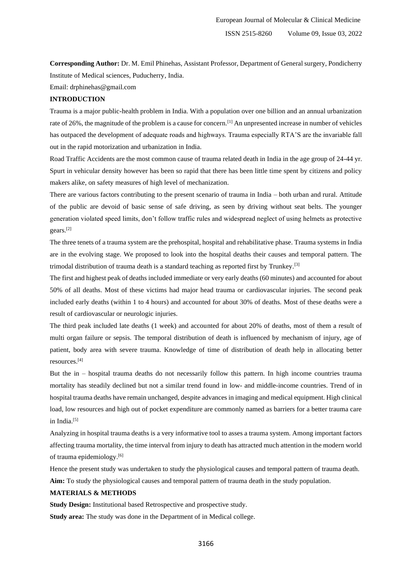**Corresponding Author:** Dr. M. Emil Phinehas, Assistant Professor, Department of General surgery, Pondicherry Institute of Medical sciences, Puducherry, India.

Email: drphinehas@gmail.com

# **INTRODUCTION**

Trauma is a major public-health problem in India. With a population over one billion and an annual urbanization rate of 26%, the magnitude of the problem is a cause for concern.[1] An unpresented increase in number of vehicles has outpaced the development of adequate roads and highways. Trauma especially RTA'S are the invariable fall out in the rapid motorization and urbanization in India.

Road Traffic Accidents are the most common cause of trauma related death in India in the age group of 24-44 yr. Spurt in vehicular density however has been so rapid that there has been little time spent by citizens and policy makers alike, on safety measures of high level of mechanization.

There are various factors contributing to the present scenario of trauma in India – both urban and rural. Attitude of the public are devoid of basic sense of safe driving, as seen by driving without seat belts. The younger generation violated speed limits, don't follow traffic rules and widespread neglect of using helmets as protective gears.[2]

The three tenets of a trauma system are the prehospital, hospital and rehabilitative phase. Trauma systems in India are in the evolving stage. We proposed to look into the hospital deaths their causes and temporal pattern. The trimodal distribution of trauma death is a standard teaching as reported first by Trunkey.<sup>[3]</sup>

The first and highest peak of deaths included immediate or very early deaths (60 minutes) and accounted for about 50% of all deaths. Most of these victims had major head trauma or cardiovascular injuries. The second peak included early deaths (within 1 to 4 hours) and accounted for about 30% of deaths. Most of these deaths were a result of cardiovascular or neurologic injuries.

The third peak included late deaths (1 week) and accounted for about 20% of deaths, most of them a result of multi organ failure or sepsis. The temporal distribution of death is influenced by mechanism of injury, age of patient, body area with severe trauma. Knowledge of time of distribution of death help in allocating better resources.[4]

But the in – hospital trauma deaths do not necessarily follow this pattern. In high income countries trauma mortality has steadily declined but not a similar trend found in low- and middle-income countries. Trend of in hospital trauma deaths have remain unchanged, despite advances in imaging and medical equipment. High clinical load, low resources and high out of pocket expenditure are commonly named as barriers for a better trauma care in India.<sup>[5]</sup>

Analyzing in hospital trauma deaths is a very informative tool to asses a trauma system. Among important factors affecting trauma mortality, the time interval from injury to death has attracted much attention in the modern world of trauma epidemiology.[6]

Hence the present study was undertaken to study the physiological causes and temporal pattern of trauma death. **Aim:** To study the physiological causes and temporal pattern of trauma death in the study population.

#### **MATERIALS & METHODS**

**Study Design:** Institutional based Retrospective and prospective study.

**Study area:** The study was done in the Department of in Medical college.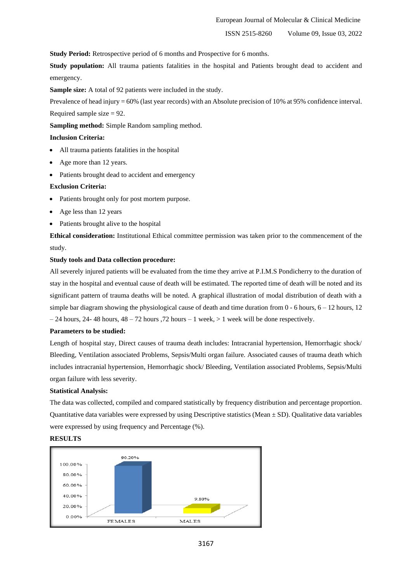**Study Period:** Retrospective period of 6 months and Prospective for 6 months.

**Study population:** All trauma patients fatalities in the hospital and Patients brought dead to accident and emergency.

**Sample size:** A total of 92 patients were included in the study.

Prevalence of head injury = 60% (last year records) with an Absolute precision of 10% at 95% confidence interval. Required sample size  $= 92$ .

**Sampling method:** Simple Random sampling method.

#### **Inclusion Criteria:**

- All trauma patients fatalities in the hospital
- Age more than 12 years.
- Patients brought dead to accident and emergency

#### **Exclusion Criteria:**

- Patients brought only for post mortem purpose.
- Age less than 12 years
- Patients brought alive to the hospital

**Ethical consideration:** Institutional Ethical committee permission was taken prior to the commencement of the study.

#### **Study tools and Data collection procedure:**

All severely injured patients will be evaluated from the time they arrive at P.I.M.S Pondicherry to the duration of stay in the hospital and eventual cause of death will be estimated. The reported time of death will be noted and its significant pattern of trauma deaths will be noted. A graphical illustration of modal distribution of death with a simple bar diagram showing the physiological cause of death and time duration from  $0 - 6$  hours,  $6 - 12$  hours,  $12$  $-24$  hours,  $24-48$  hours,  $48-72$  hours  $72$  hours  $-1$  week,  $>1$  week will be done respectively.

#### **Parameters to be studied:**

Length of hospital stay, Direct causes of trauma death includes: Intracranial hypertension, Hemorrhagic shock/ Bleeding, Ventilation associated Problems, Sepsis/Multi organ failure. Associated causes of trauma death which includes intracranial hypertension, Hemorrhagic shock/ Bleeding, Ventilation associated Problems, Sepsis/Multi organ failure with less severity.

#### **Statistical Analysis:**

The data was collected, compiled and compared statistically by frequency distribution and percentage proportion. Quantitative data variables were expressed by using Descriptive statistics (Mean  $\pm$  SD). Qualitative data variables were expressed by using frequency and Percentage (%).

### **RESULTS**

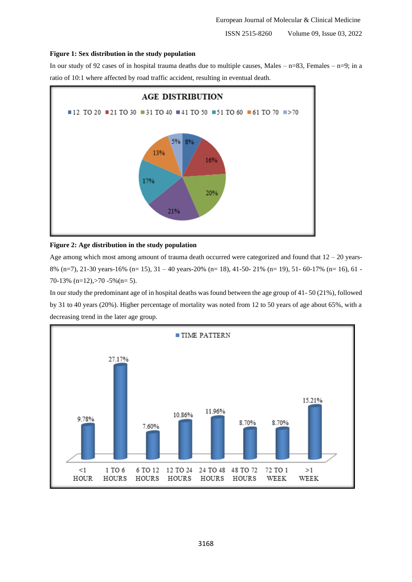#### **Figure 1: Sex distribution in the study population**

In our study of 92 cases of in hospital trauma deaths due to multiple causes, Males –  $n=83$ , Females –  $n=9$ ; in a ratio of 10:1 where affected by road traffic accident, resulting in eventual death.



#### **Figure 2: Age distribution in the study population**

Age among which most among amount of trauma death occurred were categorized and found that  $12 - 20$  years-8% (n=7), 21-30 years-16% (n= 15), 31 – 40 years-20% (n= 18), 41-50- 21% (n= 19), 51- 60-17% (n= 16), 61 - 70-13% (n=12),  $>70$  -5% (n= 5).

In our study the predominant age of in hospital deaths was found between the age group of 41- 50 (21%), followed by 31 to 40 years (20%). Higher percentage of mortality was noted from 12 to 50 years of age about 65%, with a decreasing trend in the later age group.

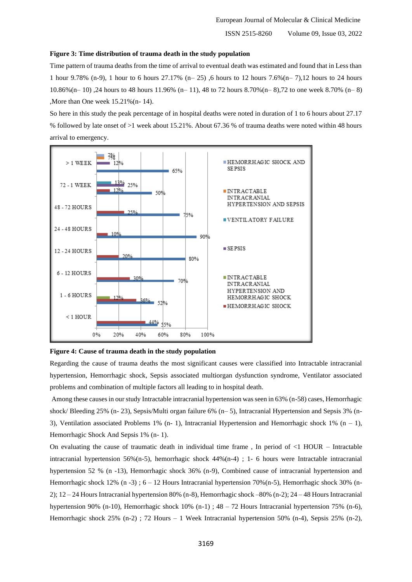ISSN 2515-8260 Volume 09, Issue 03, 2022

#### **Figure 3: Time distribution of trauma death in the study population**

Time pattern of trauma deaths from the time of arrival to eventual death was estimated and found that in Less than 1 hour 9.78% (n-9), 1 hour to 6 hours 27.17% (n– 25) ,6 hours to 12 hours 7.6%(n– 7),12 hours to 24 hours 10.86%(n– 10) ,24 hours to 48 hours 11.96% (n– 11), 48 to 72 hours 8.70%(n– 8),72 to one week 8.70% (n– 8) ,More than One week 15.21%(n- 14).

So here in this study the peak percentage of in hospital deaths were noted in duration of 1 to 6 hours about 27.17 % followed by late onset of >1 week about 15.21%. About 67.36 % of trauma deaths were noted within 48 hours arrival to emergency.



#### **Figure 4: Cause of trauma death in the study population**

Regarding the cause of trauma deaths the most significant causes were classified into Intractable intracranial hypertension, Hemorrhagic shock, Sepsis associated multiorgan dysfunction syndrome, Ventilator associated problems and combination of multiple factors all leading to in hospital death.

Among these causes in our study Intractable intracranial hypertension was seen in 63% (n-58) cases, Hemorrhagic shock/ Bleeding 25% (n- 23), Sepsis/Multi organ failure 6% (n– 5), Intracranial Hypertension and Sepsis 3% (n-3), Ventilation associated Problems 1% (n- 1), Intracranial Hypertension and Hemorrhagic shock 1% (n - 1), Hemorrhagic Shock And Sepsis 1% (n- 1).

On evaluating the cause of traumatic death in individual time frame, In period of  $\leq 1$  HOUR – Intractable intracranial hypertension 56%(n-5), hemorrhagic shock 44%(n-4) ; 1- 6 hours were Intractable intracranial hypertension 52 % (n -13), Hemorrhagic shock 36% (n-9), Combined cause of intracranial hypertension and Hemorrhagic shock 12% (n -3); 6 – 12 Hours Intracranial hypertension 70% (n-5), Hemorrhagic shock 30% (n-2); 12 – 24 Hours Intracranial hypertension 80% (n-8), Hemorrhagic shock –80% (n-2); 24 – 48 Hours Intracranial hypertension 90% (n-10), Hemorrhagic shock 10% (n-1) ; 48 – 72 Hours Intracranial hypertension 75% (n-6), Hemorrhagic shock 25% (n-2) ; 72 Hours – 1 Week Intracranial hypertension 50% (n-4), Sepsis 25% (n-2),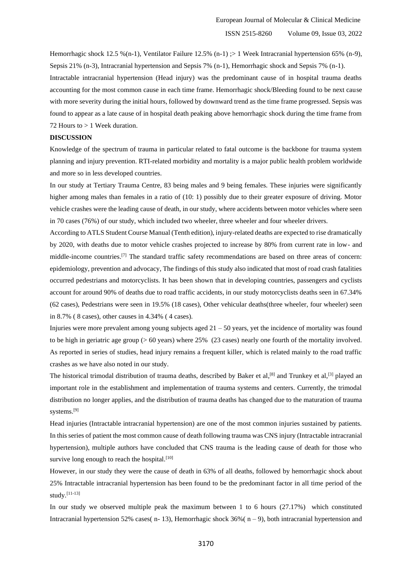Hemorrhagic shock 12.5 %(n-1), Ventilator Failure 12.5% (n-1)  $> 1$  Week Intracranial hypertension 65% (n-9), Sepsis 21% (n-3), Intracranial hypertension and Sepsis 7% (n-1), Hemorrhagic shock and Sepsis 7% (n-1). Intractable intracranial hypertension (Head injury) was the predominant cause of in hospital trauma deaths accounting for the most common cause in each time frame. Hemorrhagic shock/Bleeding found to be next cause with more severity during the initial hours, followed by downward trend as the time frame progressed. Sepsis was

found to appear as a late cause of in hospital death peaking above hemorrhagic shock during the time frame from 72 Hours to  $> 1$  Week duration.

### **DISCUSSION**

Knowledge of the spectrum of trauma in particular related to fatal outcome is the backbone for trauma system planning and injury prevention. RTI-related morbidity and mortality is a major public health problem worldwide and more so in less developed countries.

In our study at Tertiary Trauma Centre, 83 being males and 9 being females. These injuries were significantly higher among males than females in a ratio of (10: 1) possibly due to their greater exposure of driving. Motor vehicle crashes were the leading cause of death, in our study, where accidents between motor vehicles where seen in 70 cases (76%) of our study, which included two wheeler, three wheeler and four wheeler drivers.

According to ATLS Student Course Manual (Tenth edition), injury-related deaths are expected to rise dramatically by 2020, with deaths due to motor vehicle crashes projected to increase by 80% from current rate in low- and middle-income countries.[7] The standard traffic safety recommendations are based on three areas of concern: epidemiology, prevention and advocacy, The findings of this study also indicated that most of road crash fatalities occurred pedestrians and motorcyclists. It has been shown that in developing countries, passengers and cyclists account for around 90% of deaths due to road traffic accidents, in our study motorcyclists deaths seen in 67.34% (62 cases), Pedestrians were seen in 19.5% (18 cases), Other vehicular deaths(three wheeler, four wheeler) seen in 8.7% ( 8 cases), other causes in 4.34% ( 4 cases).

Injuries were more prevalent among young subjects aged 21 – 50 years, yet the incidence of mortality was found to be high in geriatric age group (> 60 years) where 25% (23 cases) nearly one fourth of the mortality involved. As reported in series of studies, head injury remains a frequent killer, which is related mainly to the road traffic crashes as we have also noted in our study.

The historical trimodal distribution of trauma deaths, described by Baker et al,  $[8]$  and Trunkey et al,  $[3]$  played an important role in the establishment and implementation of trauma systems and centers. Currently, the trimodal distribution no longer applies, and the distribution of trauma deaths has changed due to the maturation of trauma systems.[9]

Head injuries (Intractable intracranial hypertension) are one of the most common injuries sustained by patients. In this series of patient the most common cause of death following trauma was CNS injury (Intractable intracranial hypertension), multiple authors have concluded that CNS trauma is the leading cause of death for those who survive long enough to reach the hospital. $[10]$ 

However, in our study they were the cause of death in 63% of all deaths, followed by hemorrhagic shock about 25% Intractable intracranial hypertension has been found to be the predominant factor in all time period of the study.[11-13]

In our study we observed multiple peak the maximum between 1 to 6 hours (27.17%) which constituted Intracranial hypertension 52% cases( n- 13), Hemorrhagic shock 36%( n – 9), both intracranial hypertension and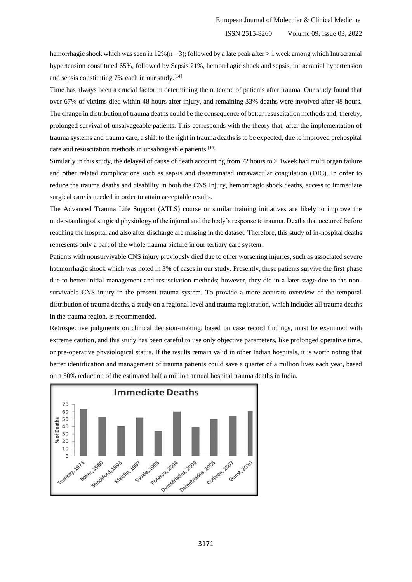hemorrhagic shock which was seen in  $12\%$  (n – 3); followed by a late peak after > 1 week among which Intracranial hypertension constituted 65%, followed by Sepsis 21%, hemorrhagic shock and sepsis, intracranial hypertension and sepsis constituting 7% each in our study. $[14]$ 

Time has always been a crucial factor in determining the outcome of patients after trauma. Our study found that over 67% of victims died within 48 hours after injury, and remaining 33% deaths were involved after 48 hours. The change in distribution of trauma deaths could be the consequence of better resuscitation methods and, thereby, prolonged survival of unsalvageable patients. This corresponds with the theory that, after the implementation of trauma systems and trauma care, a shift to the right in trauma deaths is to be expected, due to improved prehospital care and resuscitation methods in unsalvageable patients.[15]

Similarly in this study, the delayed of cause of death accounting from 72 hours to > 1week had multi organ failure and other related complications such as sepsis and disseminated intravascular coagulation (DIC). In order to reduce the trauma deaths and disability in both the CNS Injury, hemorrhagic shock deaths, access to immediate surgical care is needed in order to attain acceptable results.

The Advanced Trauma Life Support (ATLS) course or similar training initiatives are likely to improve the understanding of surgical physiology of the injured and the body's response to trauma. Deaths that occurred before reaching the hospital and also after discharge are missing in the dataset. Therefore, this study of in-hospital deaths represents only a part of the whole trauma picture in our tertiary care system.

Patients with nonsurvivable CNS injury previously died due to other worsening injuries, such as associated severe haemorrhagic shock which was noted in 3% of cases in our study. Presently, these patients survive the first phase due to better initial management and resuscitation methods; however, they die in a later stage due to the nonsurvivable CNS injury in the present trauma system. To provide a more accurate overview of the temporal distribution of trauma deaths, a study on a regional level and trauma registration, which includes all trauma deaths in the trauma region, is recommended.

Retrospective judgments on clinical decision-making, based on case record findings, must be examined with extreme caution, and this study has been careful to use only objective parameters, like prolonged operative time, or pre-operative physiological status. If the results remain valid in other Indian hospitals, it is worth noting that better identification and management of trauma patients could save a quarter of a million lives each year, based on a 50% reduction of the estimated half a million annual hospital trauma deaths in India.

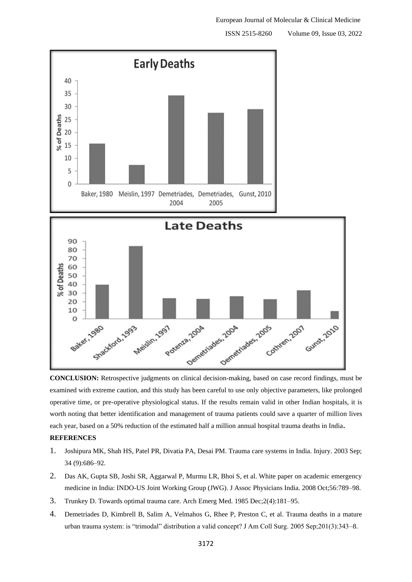ISSN 2515-8260 Volume 09, Issue 03, 2022



**CONCLUSION:** Retrospective judgments on clinical decision-making, based on case record findings, must be examined with extreme caution, and this study has been careful to use only objective parameters, like prolonged operative time, or pre-operative physiological status. If the results remain valid in other Indian hospitals, it is worth noting that better identification and management of trauma patients could save a quarter of million lives each year, based on a 50% reduction of the estimated half a million annual hospital trauma deaths in India**.**

# **REFERENCES**

- 1. Joshipura MK, Shah HS, Patel PR, Divatia PA, Desai PM. Trauma care systems in India. Injury. 2003 Sep; 34 (9):686–92.
- 2. Das AK, Gupta SB, Joshi SR, Aggarwal P, Murmu LR, Bhoi S, et al. White paper on academic emergency medicine in India: INDO-US Joint Working Group (JWG). J Assoc Physicians India. 2008 Oct;56:789–98.
- 3. Trunkey D. Towards optimal trauma care. Arch Emerg Med. 1985 Dec;2(4):181–95.
- 4. Demetriades D, Kimbrell B, Salim A, Velmahos G, Rhee P, Preston C, et al. Trauma deaths in a mature urban trauma system: is "trimodal" distribution a valid concept? J Am Coll Surg. 2005 Sep;201(3):343–8.